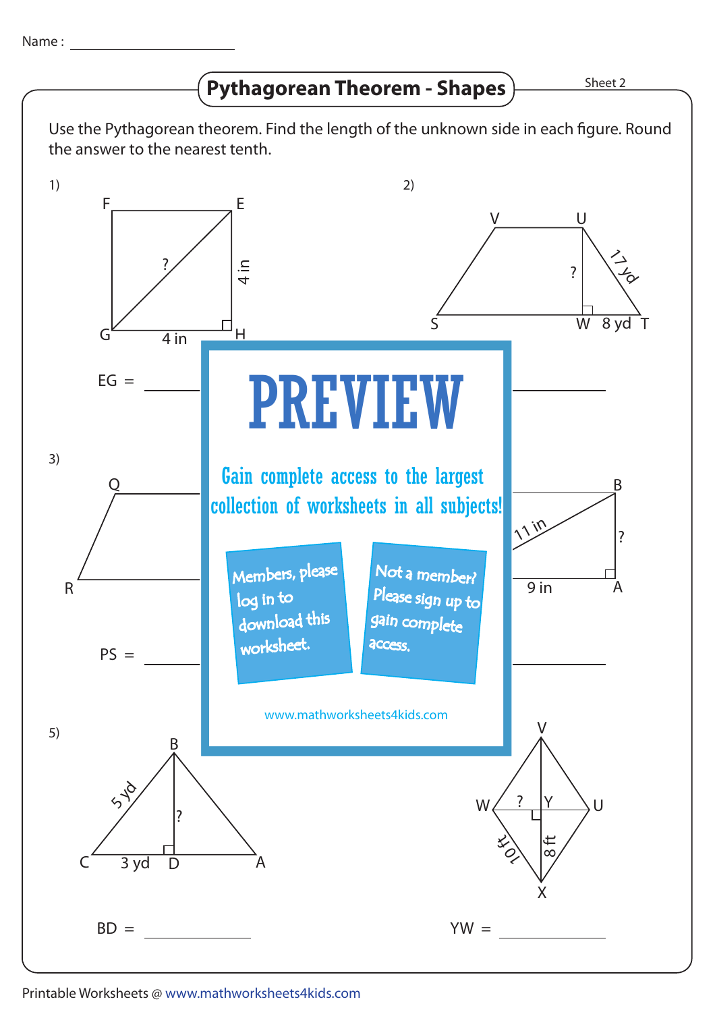## 1)  $FG =$ 2) **PREVIEW** 3)  $PS =$ AB = 5)  $BD =$  $YW =$ X  $\mathbf{U}$ V W **10 ft** tt<br>∞∕ ?  $G$  4 in  $H$ F E 4 in ? Please sign up to a set of the same of the A C B 11 in  $\overline{9}$  in ? R SAN SERVICE STATE OF THE STATE OF THE STATE OF THE STATE OF THE STATE OF THE STATE OF THE STATE OF THE STATE OF THE STATE OF THE STATE OF THE STATE OF THE STATE OF THE STATE OF THE STATE OF THE STATE OF THE STATE OF THE **Q Gain complete access to the largest** S V W 8 yd T  $\overline{U}$  $\begin{array}{c} 2 \ 4 \ 6 \end{array}$ ? A B C 3 yd D  $5 - 6$ ? Sheet 2 Use the Pythagorean theorem. Find the length of the unknown side in each figure. Round the answer to the nearest tenth. **Pythagorean Theorem - Shapes** www.mathworksheets4kids.com Members, please download this worksheet. log in to Not a member? gain complete access. collection of worksheets in all subjects!

## Printable Worksheets @ www.mathworksheets4kids.com